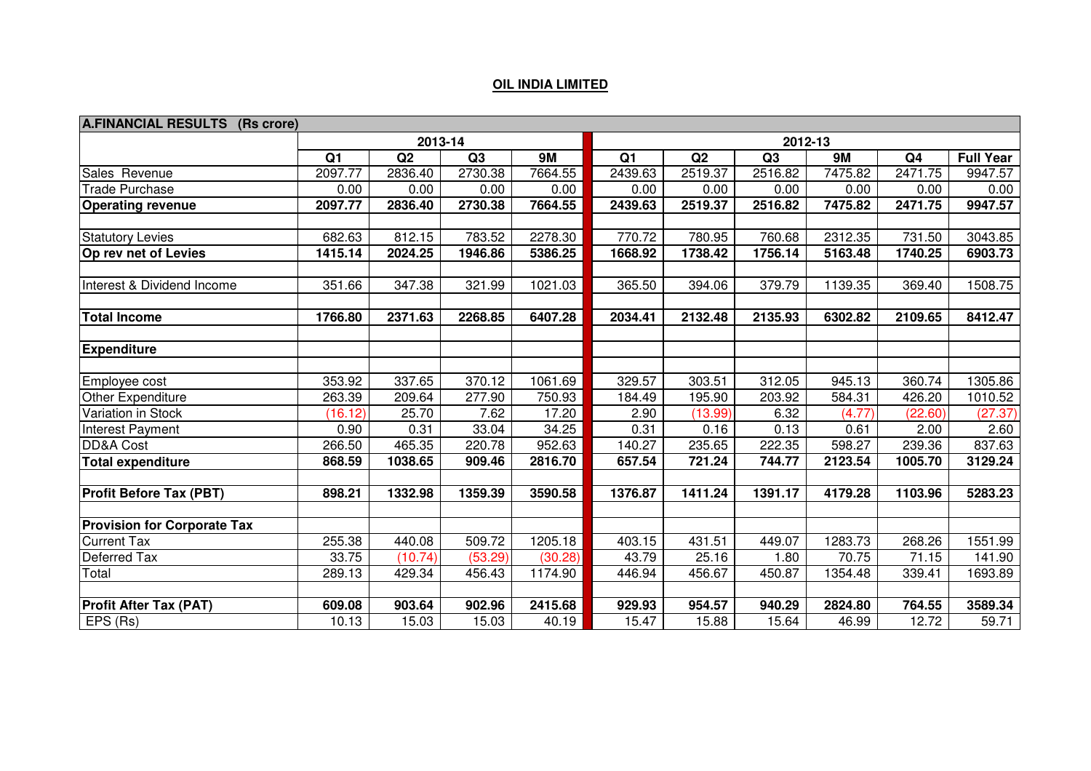## **OIL INDIA LIMITED**

| A.FINANCIAL RESULTS (Rs crore)     |                |         |         |         |                |         |         |         |                |                  |  |  |
|------------------------------------|----------------|---------|---------|---------|----------------|---------|---------|---------|----------------|------------------|--|--|
|                                    |                | 2013-14 |         |         | 2012-13        |         |         |         |                |                  |  |  |
|                                    | Q <sub>1</sub> | Q2      | Q3      | 9M      | Q <sub>1</sub> | Q2      | Q3      | 9M      | Q <sub>4</sub> | <b>Full Year</b> |  |  |
| Sales Revenue                      | 2097.77        | 2836.40 | 2730.38 | 7664.55 | 2439.63        | 2519.37 | 2516.82 | 7475.82 | 2471.75        | 9947.57          |  |  |
| <b>Trade Purchase</b>              | 0.00           | 0.00    | 0.00    | 0.00    | 0.00           | 0.00    | 0.00    | 0.00    | 0.00           | 0.00             |  |  |
| <b>Operating revenue</b>           | 2097.77        | 2836.40 | 2730.38 | 7664.55 | 2439.63        | 2519.37 | 2516.82 | 7475.82 | 2471.75        | 9947.57          |  |  |
| <b>Statutory Levies</b>            | 682.63         | 812.15  | 783.52  | 2278.30 | 770.72         | 780.95  | 760.68  | 2312.35 | 731.50         | 3043.85          |  |  |
| Op rev net of Levies               | 1415.14        | 2024.25 | 1946.86 | 5386.25 | 1668.92        | 1738.42 | 1756.14 | 5163.48 | 1740.25        | 6903.73          |  |  |
| Interest & Dividend Income         | 351.66         | 347.38  | 321.99  | 1021.03 | 365.50         | 394.06  | 379.79  | 1139.35 | 369.40         | 1508.75          |  |  |
|                                    |                |         |         |         |                |         |         |         |                |                  |  |  |
| <b>Total Income</b>                | 1766.80        | 2371.63 | 2268.85 | 6407.28 | 2034.41        | 2132.48 | 2135.93 | 6302.82 | 2109.65        | 8412.47          |  |  |
| <b>Expenditure</b>                 |                |         |         |         |                |         |         |         |                |                  |  |  |
|                                    |                |         |         |         |                |         |         |         |                |                  |  |  |
| Employee cost                      | 353.92         | 337.65  | 370.12  | 1061.69 | 329.57         | 303.51  | 312.05  | 945.13  | 360.74         | 1305.86          |  |  |
| Other Expenditure                  | 263.39         | 209.64  | 277.90  | 750.93  | 184.49         | 195.90  | 203.92  | 584.31  | 426.20         | 1010.52          |  |  |
| Variation in Stock                 | (16.12)        | 25.70   | 7.62    | 17.20   | 2.90           | (13.99) | 6.32    | (4.77)  | (22.60)        | (27.37)          |  |  |
| Interest Payment                   | 0.90           | 0.31    | 33.04   | 34.25   | 0.31           | 0.16    | 0.13    | 0.61    | 2.00           | 2.60             |  |  |
| <b>DD&amp;A</b> Cost               | 266.50         | 465.35  | 220.78  | 952.63  | 140.27         | 235.65  | 222.35  | 598.27  | 239.36         | 837.63           |  |  |
| <b>Total expenditure</b>           | 868.59         | 1038.65 | 909.46  | 2816.70 | 657.54         | 721.24  | 744.77  | 2123.54 | 1005.70        | 3129.24          |  |  |
| <b>Profit Before Tax (PBT)</b>     | 898.21         | 1332.98 | 1359.39 | 3590.58 | 1376.87        | 1411.24 | 1391.17 | 4179.28 | 1103.96        | 5283.23          |  |  |
|                                    |                |         |         |         |                |         |         |         |                |                  |  |  |
| <b>Provision for Corporate Tax</b> |                |         |         |         |                |         |         |         |                |                  |  |  |
| <b>Current Tax</b>                 | 255.38         | 440.08  | 509.72  | 1205.18 | 403.15         | 431.51  | 449.07  | 1283.73 | 268.26         | 1551.99          |  |  |
| Deferred Tax                       | 33.75          | (10.74) | (53.29) | (30.28) | 43.79          | 25.16   | 1.80    | 70.75   | 71.15          | 141.90           |  |  |
| Total                              | 289.13         | 429.34  | 456.43  | 1174.90 | 446.94         | 456.67  | 450.87  | 1354.48 | 339.41         | 1693.89          |  |  |
| <b>Profit After Tax (PAT)</b>      | 609.08         | 903.64  | 902.96  | 2415.68 | 929.93         | 954.57  | 940.29  | 2824.80 | 764.55         | 3589.34          |  |  |
| EPS (Rs)                           | 10.13          | 15.03   | 15.03   | 40.19   | 15.47          | 15.88   | 15.64   | 46.99   | 12.72          | 59.71            |  |  |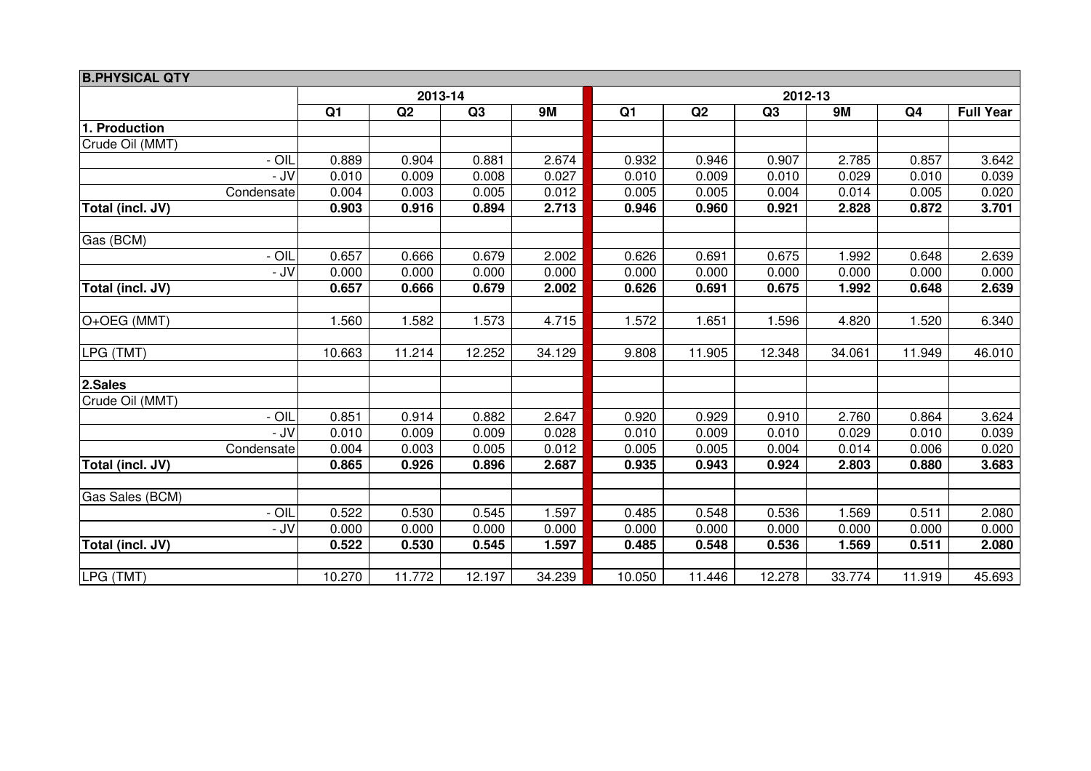| <b>B.PHYSICAL QTY</b> |                |         |        |           |                |        |        |           |                |                  |  |  |
|-----------------------|----------------|---------|--------|-----------|----------------|--------|--------|-----------|----------------|------------------|--|--|
|                       |                | 2013-14 |        |           | 2012-13        |        |        |           |                |                  |  |  |
|                       | Q <sub>1</sub> | Q2      | Q3     | <b>9M</b> | Q <sub>1</sub> | Q2     | Q3     | <b>9M</b> | Q <sub>4</sub> | <b>Full Year</b> |  |  |
| 1. Production         |                |         |        |           |                |        |        |           |                |                  |  |  |
| Crude Oil (MMT)       |                |         |        |           |                |        |        |           |                |                  |  |  |
| - OIL                 | 0.889          | 0.904   | 0.881  | 2.674     | 0.932          | 0.946  | 0.907  | 2.785     | 0.857          | 3.642            |  |  |
| - JV                  | 0.010          | 0.009   | 0.008  | 0.027     | 0.010          | 0.009  | 0.010  | 0.029     | 0.010          | 0.039            |  |  |
| Condensate            | 0.004          | 0.003   | 0.005  | 0.012     | 0.005          | 0.005  | 0.004  | 0.014     | 0.005          | 0.020            |  |  |
| Total (incl. JV)      | 0.903          | 0.916   | 0.894  | 2.713     | 0.946          | 0.960  | 0.921  | 2.828     | 0.872          | 3.701            |  |  |
| Gas (BCM)             |                |         |        |           |                |        |        |           |                |                  |  |  |
| - OIL                 | 0.657          | 0.666   | 0.679  | 2.002     | 0.626          | 0.691  | 0.675  | 1.992     | 0.648          | 2.639            |  |  |
| - JV                  | 0.000          | 0.000   | 0.000  | 0.000     | 0.000          | 0.000  | 0.000  | 0.000     | 0.000          | 0.000            |  |  |
| Total (incl. JV)      | 0.657          | 0.666   | 0.679  | 2.002     | 0.626          | 0.691  | 0.675  | 1.992     | 0.648          | 2.639            |  |  |
|                       |                |         |        |           |                |        |        |           |                |                  |  |  |
| O+OEG (MMT)           | 1.560          | 1.582   | 1.573  | 4.715     | 1.572          | 1.651  | 1.596  | 4.820     | 1.520          | 6.340            |  |  |
|                       |                |         |        |           |                |        |        |           |                |                  |  |  |
| LPG (TMT)             | 10.663         | 11.214  | 12.252 | 34.129    | 9.808          | 11.905 | 12.348 | 34.061    | 11.949         | 46.010           |  |  |
| 2.Sales               |                |         |        |           |                |        |        |           |                |                  |  |  |
| Crude Oil (MMT)       |                |         |        |           |                |        |        |           |                |                  |  |  |
| - OIL                 | 0.851          | 0.914   | 0.882  | 2.647     | 0.920          | 0.929  | 0.910  | 2.760     | 0.864          | 3.624            |  |  |
| - JV                  | 0.010          | 0.009   | 0.009  | 0.028     | 0.010          | 0.009  | 0.010  | 0.029     | 0.010          | 0.039            |  |  |
| Condensate            | 0.004          | 0.003   | 0.005  | 0.012     | 0.005          | 0.005  | 0.004  | 0.014     | 0.006          | 0.020            |  |  |
| Total (incl. JV)      | 0.865          | 0.926   | 0.896  | 2.687     | 0.935          | 0.943  | 0.924  | 2.803     | 0.880          | 3.683            |  |  |
| Gas Sales (BCM)       |                |         |        |           |                |        |        |           |                |                  |  |  |
| - OIL                 | 0.522          | 0.530   | 0.545  | 1.597     | 0.485          | 0.548  | 0.536  | 1.569     | 0.511          | 2.080            |  |  |
| - JV                  | 0.000          | 0.000   | 0.000  | 0.000     | 0.000          | 0.000  | 0.000  | 0.000     | 0.000          | 0.000            |  |  |
| Total (incl. JV)      | 0.522          | 0.530   | 0.545  | 1.597     | 0.485          | 0.548  | 0.536  | 1.569     | 0.511          | 2.080            |  |  |
|                       |                |         |        |           |                |        |        |           |                |                  |  |  |
| LPG (TMT)             | 10.270         | 11.772  | 12.197 | 34.239    | 10.050         | 11.446 | 12.278 | 33.774    | 11.919         | 45.693           |  |  |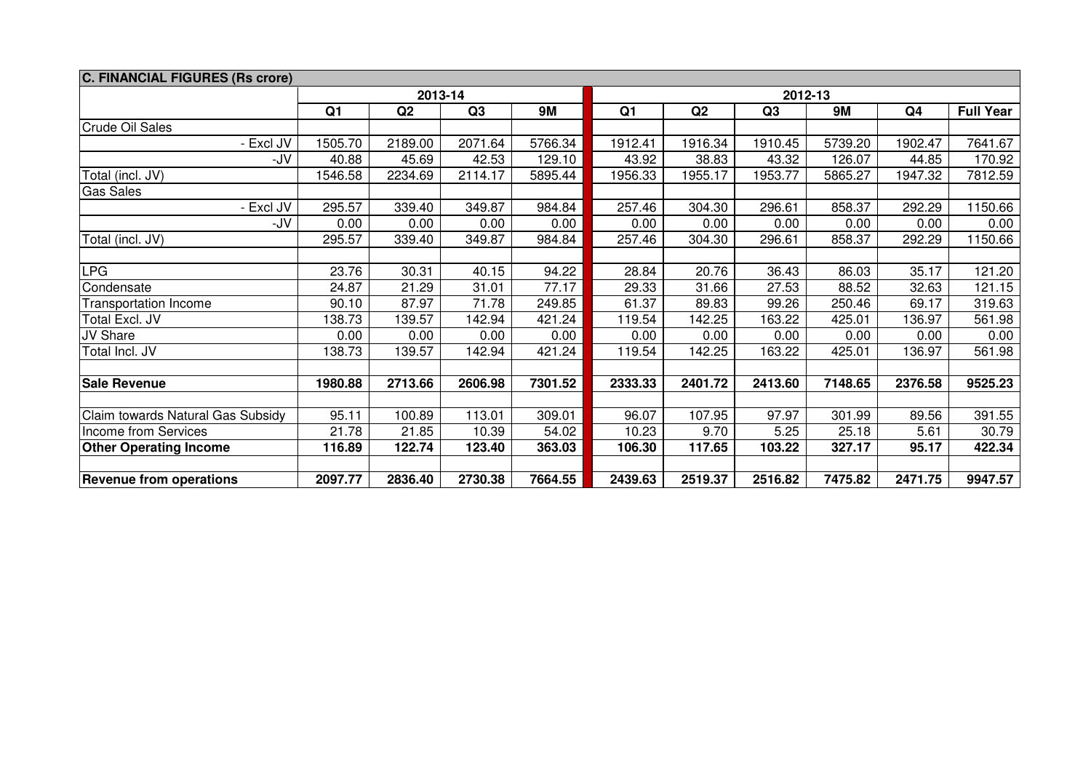| <b>C. FINANCIAL FIGURES (Rs crore)</b> |                |         |         |           |                |         |         |           |                |                  |  |  |
|----------------------------------------|----------------|---------|---------|-----------|----------------|---------|---------|-----------|----------------|------------------|--|--|
|                                        |                |         | 2013-14 |           | 2012-13        |         |         |           |                |                  |  |  |
|                                        | Q <sub>1</sub> | Q2      | Q3      | <b>9M</b> | Q <sub>1</sub> | Q2      | Q3      | <b>9M</b> | Q <sub>4</sub> | <b>Full Year</b> |  |  |
| Crude Oil Sales                        |                |         |         |           |                |         |         |           |                |                  |  |  |
| - Excl JV                              | 1505.70        | 2189.00 | 2071.64 | 5766.34   | 1912.41        | 1916.34 | 1910.45 | 5739.20   | 1902.47        | 7641.67          |  |  |
| -JV                                    | 40.88          | 45.69   | 42.53   | 129.10    | 43.92          | 38.83   | 43.32   | 126.07    | 44.85          | 170.92           |  |  |
| Total (incl. JV)                       | 1546.58        | 2234.69 | 2114.17 | 5895.44   | 1956.33        | 1955.17 | 1953.77 | 5865.27   | 1947.32        | 7812.59          |  |  |
| <b>Gas Sales</b>                       |                |         |         |           |                |         |         |           |                |                  |  |  |
| - Excl JV                              | 295.57         | 339.40  | 349.87  | 984.84    | 257.46         | 304.30  | 296.61  | 858.37    | 292.29         | 1150.66          |  |  |
| -JV                                    | 0.00           | 0.00    | 0.00    | 0.00      | 0.00           | 0.00    | 0.00    | 0.00      | 0.00           | 0.00             |  |  |
| Total (incl. JV)                       | 295.57         | 339.40  | 349.87  | 984.84    | 257.46         | 304.30  | 296.61  | 858.37    | 292.29         | 1150.66          |  |  |
|                                        |                |         |         |           |                |         |         |           |                |                  |  |  |
| <b>LPG</b>                             | 23.76          | 30.31   | 40.15   | 94.22     | 28.84          | 20.76   | 36.43   | 86.03     | 35.17          | 121.20           |  |  |
| Condensate                             | 24.87          | 21.29   | 31.01   | 77.17     | 29.33          | 31.66   | 27.53   | 88.52     | 32.63          | 121.15           |  |  |
| <b>Transportation Income</b>           | 90.10          | 87.97   | 71.78   | 249.85    | 61.37          | 89.83   | 99.26   | 250.46    | 69.17          | 319.63           |  |  |
| Total Excl. JV                         | 38.73          | 139.57  | 142.94  | 421.24    | 119.54         | 142.25  | 163.22  | 425.01    | 136.97         | 561.98           |  |  |
| JV Share                               | 0.00           | 0.00    | 0.00    | 0.00      | 0.00           | 0.00    | 0.00    | 0.00      | 0.00           | 0.00             |  |  |
| Total Incl. JV                         | 138.73         | 139.57  | 142.94  | 421.24    | 119.54         | 142.25  | 163.22  | 425.01    | 136.97         | 561.98           |  |  |
|                                        |                |         |         |           |                |         |         |           |                |                  |  |  |
| <b>Sale Revenue</b>                    | 1980.88        | 2713.66 | 2606.98 | 7301.52   | 2333.33        | 2401.72 | 2413.60 | 7148.65   | 2376.58        | 9525.23          |  |  |
|                                        |                |         |         |           |                |         |         |           |                |                  |  |  |
| Claim towards Natural Gas Subsidy      | 95.11          | 100.89  | 113.01  | 309.01    | 96.07          | 107.95  | 97.97   | 301.99    | 89.56          | 391.55           |  |  |
| Income from Services                   | 21.78          | 21.85   | 10.39   | 54.02     | 10.23          | 9.70    | 5.25    | 25.18     | 5.61           | 30.79            |  |  |
| <b>Other Operating Income</b>          | 116.89         | 122.74  | 123.40  | 363.03    | 106.30         | 117.65  | 103.22  | 327.17    | 95.17          | 422.34           |  |  |
|                                        |                |         |         |           |                |         |         |           |                |                  |  |  |
| <b>Revenue from operations</b>         | 2097.77        | 2836.40 | 2730.38 | 7664.55   | 2439.63        | 2519.37 | 2516.82 | 7475.82   | 2471.75        | 9947.57          |  |  |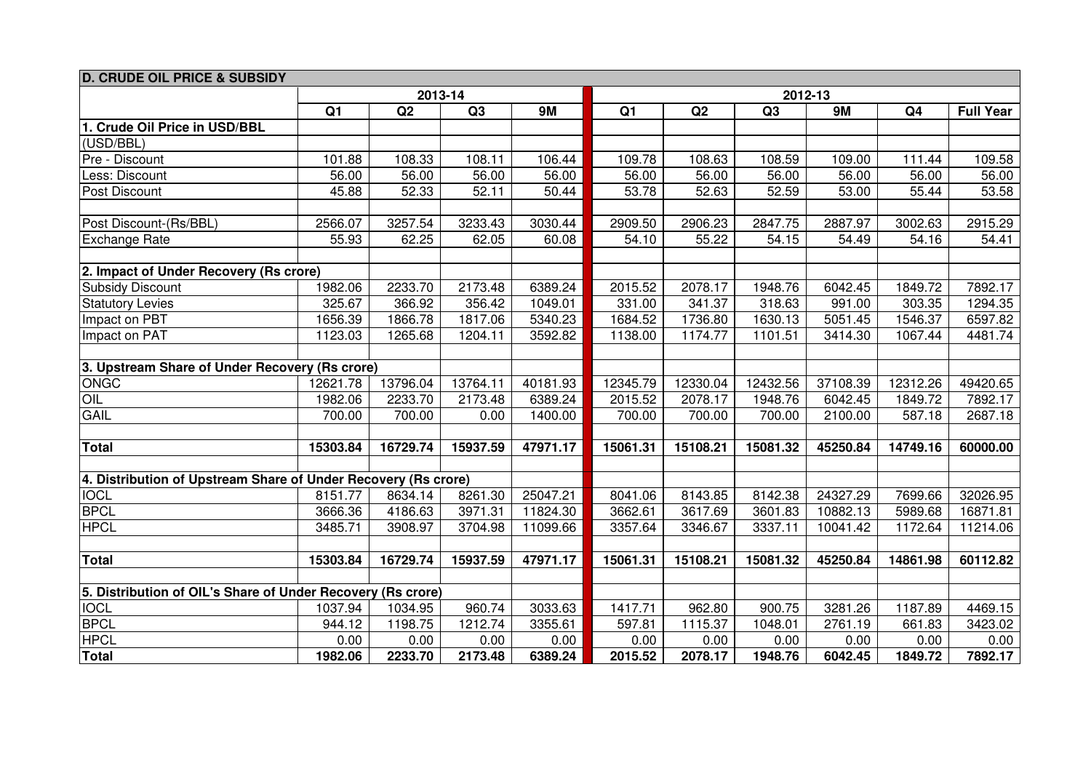| <b>D. CRUDE OIL PRICE &amp; SUBSIDY</b>                        |                |          |          |           |          |          |                |           |                |                  |  |  |
|----------------------------------------------------------------|----------------|----------|----------|-----------|----------|----------|----------------|-----------|----------------|------------------|--|--|
|                                                                |                |          | 2013-14  |           | 2012-13  |          |                |           |                |                  |  |  |
|                                                                | Q <sub>1</sub> | Q2       | Q3       | <b>9M</b> | Q1       | Q2       | Q <sub>3</sub> | <b>9M</b> | Q <sub>4</sub> | <b>Full Year</b> |  |  |
| 1. Crude Oil Price in USD/BBL                                  |                |          |          |           |          |          |                |           |                |                  |  |  |
| (USD/BBL)                                                      |                |          |          |           |          |          |                |           |                |                  |  |  |
| Pre - Discount                                                 | 101.88         | 108.33   | 108.11   | 106.44    | 109.78   | 108.63   | 108.59         | 109.00    | 111.44         | 109.58           |  |  |
| Less: Discount                                                 | 56.00          | 56.00    | 56.00    | 56.00     | 56.00    | 56.00    | 56.00          | 56.00     | 56.00          | 56.00            |  |  |
| Post Discount                                                  | 45.88          | 52.33    | 52.11    | 50.44     | 53.78    | 52.63    | 52.59          | 53.00     | 55.44          | 53.58            |  |  |
|                                                                |                |          |          |           |          |          |                |           |                |                  |  |  |
| Post Discount-(Rs/BBL)                                         | 2566.07        | 3257.54  | 3233.43  | 3030.44   | 2909.50  | 2906.23  | 2847.75        | 2887.97   | 3002.63        | 2915.29          |  |  |
| <b>Exchange Rate</b>                                           | 55.93          | 62.25    | 62.05    | 60.08     | 54.10    | 55.22    | 54.15          | 54.49     | 54.16          | 54.41            |  |  |
|                                                                |                |          |          |           |          |          |                |           |                |                  |  |  |
| 2. Impact of Under Recovery (Rs crore)                         |                |          |          |           |          |          |                |           |                |                  |  |  |
| <b>Subsidy Discount</b>                                        | 1982.06        | 2233.70  | 2173.48  | 6389.24   | 2015.52  | 2078.17  | 1948.76        | 6042.45   | 1849.72        | 7892.17          |  |  |
| <b>Statutory Levies</b>                                        | 325.67         | 366.92   | 356.42   | 1049.01   | 331.00   | 341.37   | 318.63         | 991.00    | 303.35         | 1294.35          |  |  |
| Impact on PBT                                                  | 1656.39        | 1866.78  | 1817.06  | 5340.23   | 1684.52  | 1736.80  | 1630.13        | 5051.45   | 1546.37        | 6597.82          |  |  |
| Impact on PAT                                                  | 1123.03        | 1265.68  | 1204.11  | 3592.82   | 1138.00  | 1174.77  | 1101.51        | 3414.30   | 1067.44        | 4481.74          |  |  |
|                                                                |                |          |          |           |          |          |                |           |                |                  |  |  |
| 3. Upstream Share of Under Recovery (Rs crore)                 |                |          |          |           |          |          |                |           |                |                  |  |  |
| <b>ONGC</b>                                                    | 12621.78       | 13796.04 | 13764.11 | 40181.93  | 12345.79 | 12330.04 | 12432.56       | 37108.39  | 12312.26       | 49420.65         |  |  |
| OIL                                                            | 1982.06        | 2233.70  | 2173.48  | 6389.24   | 2015.52  | 2078.17  | 1948.76        | 6042.45   | 1849.72        | 7892.17          |  |  |
| <b>GAIL</b>                                                    | 700.00         | 700.00   | 0.00     | 1400.00   | 700.00   | 700.00   | 700.00         | 2100.00   | 587.18         | 2687.18          |  |  |
|                                                                |                |          |          |           |          |          |                |           |                |                  |  |  |
| <b>Total</b>                                                   | 15303.84       | 16729.74 | 15937.59 | 47971.17  | 15061.31 | 15108.21 | 15081.32       | 45250.84  | 14749.16       | 60000.00         |  |  |
|                                                                |                |          |          |           |          |          |                |           |                |                  |  |  |
| 4. Distribution of Upstream Share of Under Recovery (Rs crore) |                |          |          |           |          |          |                |           |                |                  |  |  |
| <b>IOCL</b>                                                    | 8151.77        | 8634.14  | 8261.30  | 25047.21  | 8041.06  | 8143.85  | 8142.38        | 24327.29  | 7699.66        | 32026.95         |  |  |
| <b>BPCL</b>                                                    | 3666.36        | 4186.63  | 3971.31  | 11824.30  | 3662.61  | 3617.69  | 3601.83        | 10882.13  | 5989.68        | 16871.81         |  |  |
| <b>HPCL</b>                                                    | 3485.71        | 3908.97  | 3704.98  | 11099.66  | 3357.64  | 3346.67  | 3337.11        | 10041.42  | 1172.64        | 11214.06         |  |  |
|                                                                |                |          |          |           |          |          |                |           |                |                  |  |  |
| <b>Total</b>                                                   | 15303.84       | 16729.74 | 15937.59 | 47971.17  | 15061.31 | 15108.21 | 15081.32       | 45250.84  | 14861.98       | 60112.82         |  |  |
|                                                                |                |          |          |           |          |          |                |           |                |                  |  |  |
| 5. Distribution of OIL's Share of Under Recovery (Rs crore)    |                |          |          |           |          |          |                |           |                |                  |  |  |
| <b>IOCL</b>                                                    | 1037.94        | 1034.95  | 960.74   | 3033.63   | 1417.71  | 962.80   | 900.75         | 3281.26   | 1187.89        | 4469.15          |  |  |
| <b>BPCL</b>                                                    | 944.12         | 1198.75  | 1212.74  | 3355.61   | 597.81   | 1115.37  | 1048.01        | 2761.19   | 661.83         | 3423.02          |  |  |
| <b>HPCL</b>                                                    | 0.00           | 0.00     | 0.00     | 0.00      | 0.00     | 0.00     | 0.00           | 0.00      | 0.00           | 0.00             |  |  |
| <b>Total</b>                                                   | 1982.06        | 2233.70  | 2173.48  | 6389.24   | 2015.52  | 2078.17  | 1948.76        | 6042.45   | 1849.72        | 7892.17          |  |  |